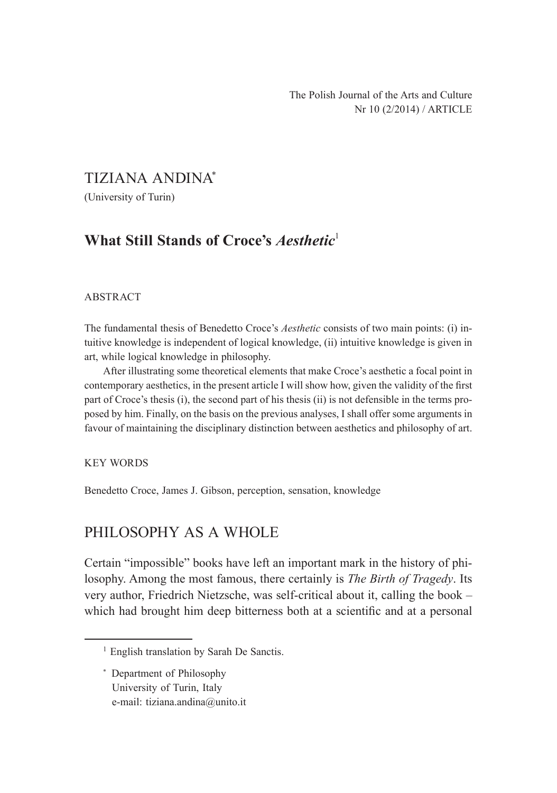## TIZIANA ANDINA\*

(University of Turin)

# **What Still Stands of Croce's** *Aesthetic*<sup>1</sup>

#### ABSTRACT

The fundamental thesis of Benedetto Croce's *Aesthetic* consists of two main points: (i) intuitive knowledge is independent of logical knowledge, (ii) intuitive knowledge is given in art, while logical knowledge in philosophy.

After illustrating some theoretical elements that make Croce's aesthetic a focal point in contemporary aesthetics, in the present article I will show how, given the validity of the first part of Croce's thesis (i), the second part of his thesis (ii) is not defensible in the terms proposed by him. Finally, on the basis on the previous analyses, I shall offer some arguments in favour of maintaining the disciplinary distinction between aesthetics and philosophy of art.

#### KEY WORDS

Benedetto Croce, James J. Gibson, perception, sensation, knowledge

### PHILOSOPHY AS A WHOLE

Certain "impossible" books have left an important mark in the history of philosophy. Among the most famous, there certainly is *The Birth of Tragedy*. Its very author, Friedrich Nietzsche, was self-critical about it, calling the book – which had brought him deep bitterness both at a scientific and at a personal

<sup>&</sup>lt;sup>1</sup> English translation by Sarah De Sanctis.

<sup>\*</sup> Department of Philosophy University of Turin, Italy e-mail: tiziana.andina@unito.it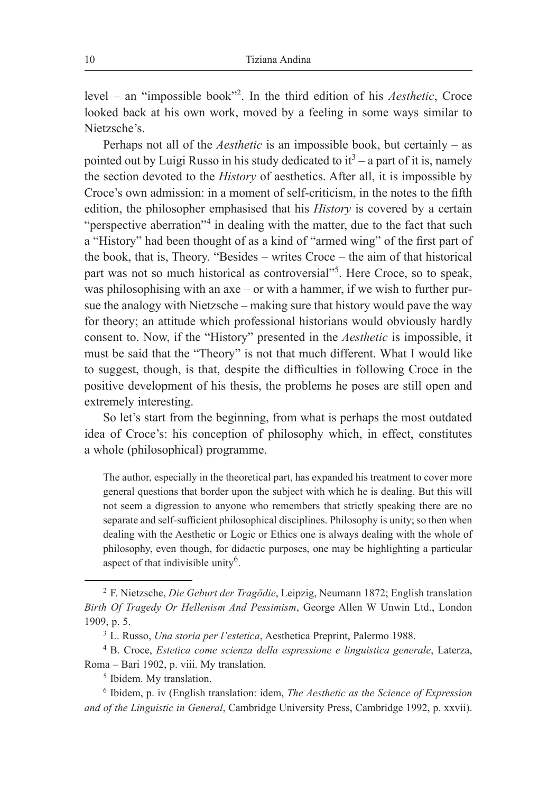level – an "impossible book"2 . In the third edition of his *Aesthetic*, Croce looked back at his own work, moved by a feeling in some ways similar to Nietzsche's.

Perhaps not all of the *Aesthetic* is an impossible book, but certainly – as pointed out by Luigi Russo in his study dedicated to  $it^3$  – a part of it is, namely the section devoted to the *History* of aesthetics. After all, it is impossible by Croce's own admission: in a moment of self-criticism, in the notes to the fifth edition, the philosopher emphasised that his *History* is covered by a certain "perspective aberration"<sup>4</sup> in dealing with the matter, due to the fact that such a "History" had been thought of as a kind of "armed wing" of the first part of the book, that is, Theory. "Besides – writes Croce – the aim of that historical part was not so much historical as controversial"<sup>5</sup>. Here Croce, so to speak, was philosophising with an axe – or with a hammer, if we wish to further pursue the analogy with Nietzsche – making sure that history would pave the way for theory; an attitude which professional historians would obviously hardly consent to. Now, if the "History" presented in the *Aesthetic* is impossible, it must be said that the "Theory" is not that much different. What I would like to suggest, though, is that, despite the difficulties in following Croce in the positive development of his thesis, the problems he poses are still open and extremely interesting.

So let's start from the beginning, from what is perhaps the most outdated idea of Croce's: his conception of philosophy which, in effect, constitutes a whole (philosophical) programme.

The author, especially in the theoretical part, has expanded his treatment to cover more general questions that border upon the subject with which he is dealing. But this will not seem a digression to anyone who remembers that strictly speaking there are no separate and self-sufficient philosophical disciplines. Philosophy is unity; so then when dealing with the Aesthetic or Logic or Ethics one is always dealing with the whole of philosophy, even though, for didactic purposes, one may be highlighting a particular aspect of that indivisible unity<sup>6</sup>.

<sup>2</sup> F. Nietzsche, *Die Geburt der Tragödie*, Leipzig, Neumann 1872; English translation *Birth Of Tragedy Or Hellenism And Pessimism*, George Allen W Unwin Ltd., London 1909, p. 5. 3 L. Russo, *Una storia per l'estetica*, Aesthetica Preprint, Palermo 1988. 4 B. Croce, *Estetica come scienza della espressione e linguistica generale*, Laterza,

Roma – Bari 1902, p. viii. My translation.

<sup>5</sup> Ibidem. My translation.

<sup>6</sup> Ibidem, p. iv (English translation: idem, *The Aesthetic as the Science of Expression and of the Linguistic in General*, Cambridge University Press, Cambridge 1992, p. xxvii).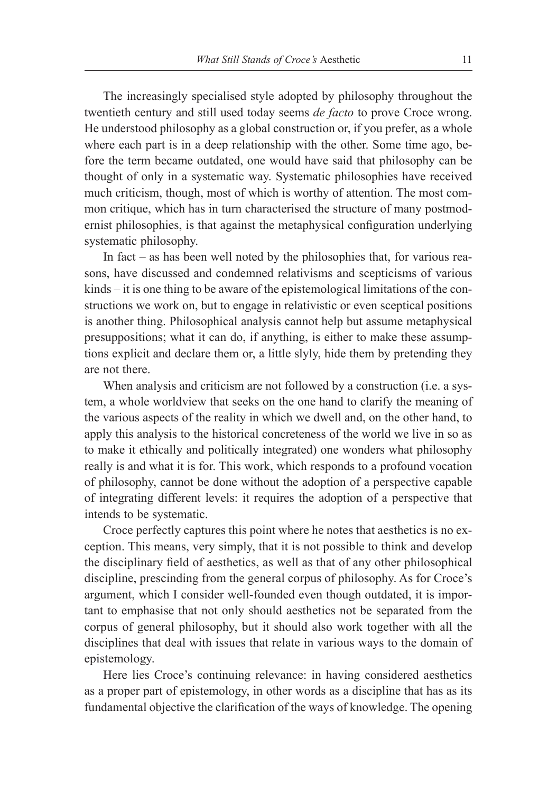The increasingly specialised style adopted by philosophy throughout the twentieth century and still used today seems *de facto* to prove Croce wrong. He understood philosophy as a global construction or, if you prefer, as a whole where each part is in a deep relationship with the other. Some time ago, before the term became outdated, one would have said that philosophy can be thought of only in a systematic way. Systematic philosophies have received much criticism, though, most of which is worthy of attention. The most common critique, which has in turn characterised the structure of many postmodernist philosophies, is that against the metaphysical configuration underlying systematic philosophy.

In fact – as has been well noted by the philosophies that, for various reasons, have discussed and condemned relativisms and scepticisms of various kinds – it is one thing to be aware of the epistemological limitations of the constructions we work on, but to engage in relativistic or even sceptical positions is another thing. Philosophical analysis cannot help but assume metaphysical presuppositions; what it can do, if anything, is either to make these assumptions explicit and declare them or, a little slyly, hide them by pretending they are not there.

When analysis and criticism are not followed by a construction (i.e. a system, a whole worldview that seeks on the one hand to clarify the meaning of the various aspects of the reality in which we dwell and, on the other hand, to apply this analysis to the historical concreteness of the world we live in so as to make it ethically and politically integrated) one wonders what philosophy really is and what it is for. This work, which responds to a profound vocation of philosophy, cannot be done without the adoption of a perspective capable of integrating different levels: it requires the adoption of a perspective that intends to be systematic.

Croce perfectly captures this point where he notes that aesthetics is no exception. This means, very simply, that it is not possible to think and develop the disciplinary field of aesthetics, as well as that of any other philosophical discipline, prescinding from the general corpus of philosophy. As for Croce's argument, which I consider well-founded even though outdated, it is important to emphasise that not only should aesthetics not be separated from the corpus of general philosophy, but it should also work together with all the disciplines that deal with issues that relate in various ways to the domain of epistemology.

Here lies Croce's continuing relevance: in having considered aesthetics as a proper part of epistemology, in other words as a discipline that has as its fundamental objective the clarification of the ways of knowledge. The opening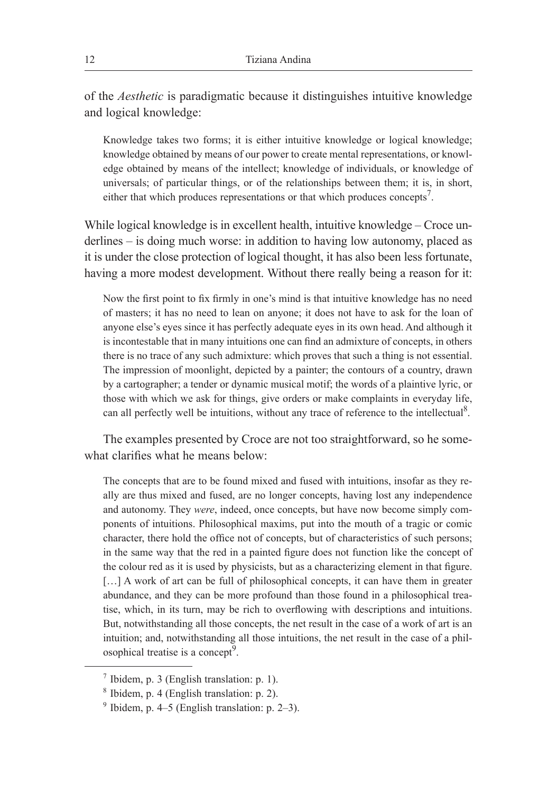of the *Aesthetic* is paradigmatic because it distinguishes intuitive knowledge and logical knowledge:

Knowledge takes two forms; it is either intuitive knowledge or logical knowledge; knowledge obtained by means of our power to create mental representations, or knowledge obtained by means of the intellect; knowledge of individuals, or knowledge of universals; of particular things, or of the relationships between them; it is, in short, either that which produces representations or that which produces concepts<sup>7</sup>.

While logical knowledge is in excellent health, intuitive knowledge – Croce underlines – is doing much worse: in addition to having low autonomy, placed as it is under the close protection of logical thought, it has also been less fortunate, having a more modest development. Without there really being a reason for it:

Now the first point to fix firmly in one's mind is that intuitive knowledge has no need of masters; it has no need to lean on anyone; it does not have to ask for the loan of anyone else's eyes since it has perfectly adequate eyes in its own head. And although it is incontestable that in many intuitions one can find an admixture of concepts, in others there is no trace of any such admixture: which proves that such a thing is not essential. The impression of moonlight, depicted by a painter; the contours of a country, drawn by a cartographer; a tender or dynamic musical motif; the words of a plaintive lyric, or those with which we ask for things, give orders or make complaints in everyday life, can all perfectly well be intuitions, without any trace of reference to the intellectual<sup>8</sup>.

The examples presented by Croce are not too straightforward, so he somewhat clarifies what he means below:

The concepts that are to be found mixed and fused with intuitions, insofar as they really are thus mixed and fused, are no longer concepts, having lost any independence and autonomy. They *were*, indeed, once concepts, but have now become simply components of intuitions. Philosophical maxims, put into the mouth of a tragic or comic character, there hold the office not of concepts, but of characteristics of such persons; in the same way that the red in a painted figure does not function like the concept of the colour red as it is used by physicists, but as a characterizing element in that figure. [...] A work of art can be full of philosophical concepts, it can have them in greater abundance, and they can be more profound than those found in a philosophical treatise, which, in its turn, may be rich to overflowing with descriptions and intuitions. But, notwithstanding all those concepts, the net result in the case of a work of art is an intuition; and, notwithstanding all those intuitions, the net result in the case of a philosophical treatise is a concept<sup>9</sup>.

 $<sup>7</sup>$  Ibidem, p. 3 (English translation: p. 1).</sup>

<sup>8</sup> Ibidem, p. 4 (English translation: p. 2).

 $9$  Ibidem, p. 4–5 (English translation: p. 2–3).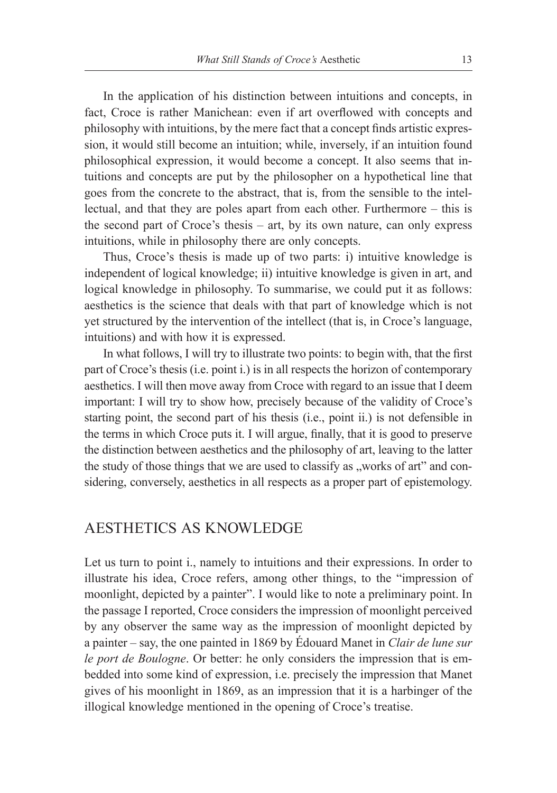In the application of his distinction between intuitions and concepts, in fact, Croce is rather Manichean: even if art overflowed with concepts and philosophy with intuitions, by the mere fact that a concept finds artistic expression, it would still become an intuition; while, inversely, if an intuition found philosophical expression, it would become a concept. It also seems that intuitions and concepts are put by the philosopher on a hypothetical line that goes from the concrete to the abstract, that is, from the sensible to the intellectual, and that they are poles apart from each other. Furthermore – this is the second part of Croce's thesis – art, by its own nature, can only express intuitions, while in philosophy there are only concepts.

Thus, Croce's thesis is made up of two parts: i) intuitive knowledge is independent of logical knowledge; ii) intuitive knowledge is given in art, and logical knowledge in philosophy. To summarise, we could put it as follows: aesthetics is the science that deals with that part of knowledge which is not yet structured by the intervention of the intellect (that is, in Croce's language, intuitions) and with how it is expressed.

In what follows, I will try to illustrate two points: to begin with, that the first part of Croce's thesis (i.e. point i.) is in all respects the horizon of contemporary aesthetics. I will then move away from Croce with regard to an issue that I deem important: I will try to show how, precisely because of the validity of Croce's starting point, the second part of his thesis (i.e., point ii.) is not defensible in the terms in which Croce puts it. I will argue, finally, that it is good to preserve the distinction between aesthetics and the philosophy of art, leaving to the latter the study of those things that we are used to classify as "works of art" and considering, conversely, aesthetics in all respects as a proper part of epistemology.

### AESTHETICS AS KNOWLEDGE

Let us turn to point i., namely to intuitions and their expressions. In order to illustrate his idea, Croce refers, among other things, to the "impression of moonlight, depicted by a painter". I would like to note a preliminary point. In the passage I reported, Croce considers the impression of moonlight perceived by any observer the same way as the impression of moonlight depicted by a painter – say, the one painted in 1869 by Édouard Manet in *Clair de lune sur le port de Boulogne*. Or better: he only considers the impression that is embedded into some kind of expression, i.e. precisely the impression that Manet gives of his moonlight in 1869, as an impression that it is a harbinger of the illogical knowledge mentioned in the opening of Croce's treatise.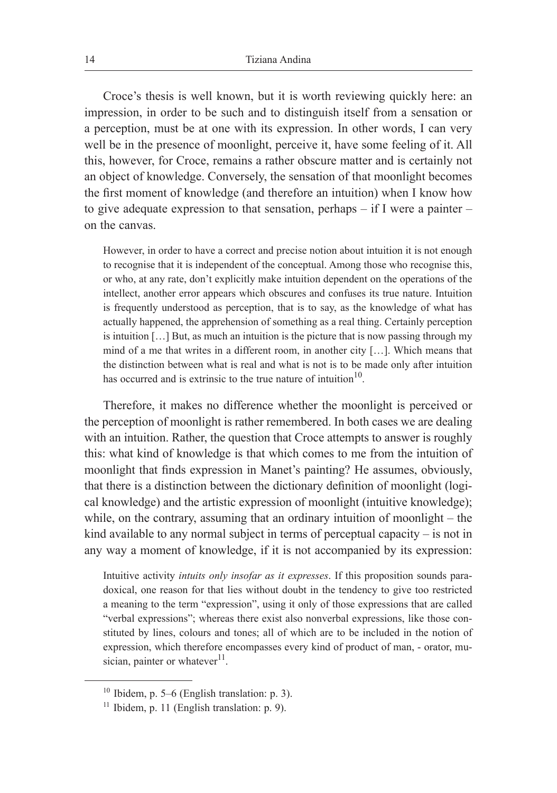Croce's thesis is well known, but it is worth reviewing quickly here: an impression, in order to be such and to distinguish itself from a sensation or a perception, must be at one with its expression. In other words, I can very well be in the presence of moonlight, perceive it, have some feeling of it. All this, however, for Croce, remains a rather obscure matter and is certainly not an object of knowledge. Conversely, the sensation of that moonlight becomes the first moment of knowledge (and therefore an intuition) when I know how to give adequate expression to that sensation, perhaps – if I were a painter – on the canvas.

However, in order to have a correct and precise notion about intuition it is not enough to recognise that it is independent of the conceptual. Among those who recognise this, or who, at any rate, don't explicitly make intuition dependent on the operations of the intellect, another error appears which obscures and confuses its true nature. Intuition is frequently understood as perception, that is to say, as the knowledge of what has actually happened, the apprehension of something as a real thing. Certainly perception is intuition […] But, as much an intuition is the picture that is now passing through my mind of a me that writes in a different room, in another city […]. Which means that the distinction between what is real and what is not is to be made only after intuition has occurred and is extrinsic to the true nature of intuition<sup>10</sup>.

Therefore, it makes no difference whether the moonlight is perceived or the perception of moonlight is rather remembered. In both cases we are dealing with an intuition. Rather, the question that Croce attempts to answer is roughly this: what kind of knowledge is that which comes to me from the intuition of moonlight that finds expression in Manet's painting? He assumes, obviously, that there is a distinction between the dictionary definition of moonlight (logical knowledge) and the artistic expression of moonlight (intuitive knowledge); while, on the contrary, assuming that an ordinary intuition of moonlight – the kind available to any normal subject in terms of perceptual capacity  $-$  is not in any way a moment of knowledge, if it is not accompanied by its expression:

Intuitive activity *intuits only insofar as it expresses*. If this proposition sounds paradoxical, one reason for that lies without doubt in the tendency to give too restricted a meaning to the term "expression", using it only of those expressions that are called "verbal expressions"; whereas there exist also nonverbal expressions, like those constituted by lines, colours and tones; all of which are to be included in the notion of expression, which therefore encompasses every kind of product of man, - orator, musician, painter or whatever $^{11}$ .

<sup>&</sup>lt;sup>10</sup> Ibidem, p. 5–6 (English translation: p. 3).<br><sup>11</sup> Ibidem, p. 11 (English translation: p. 9).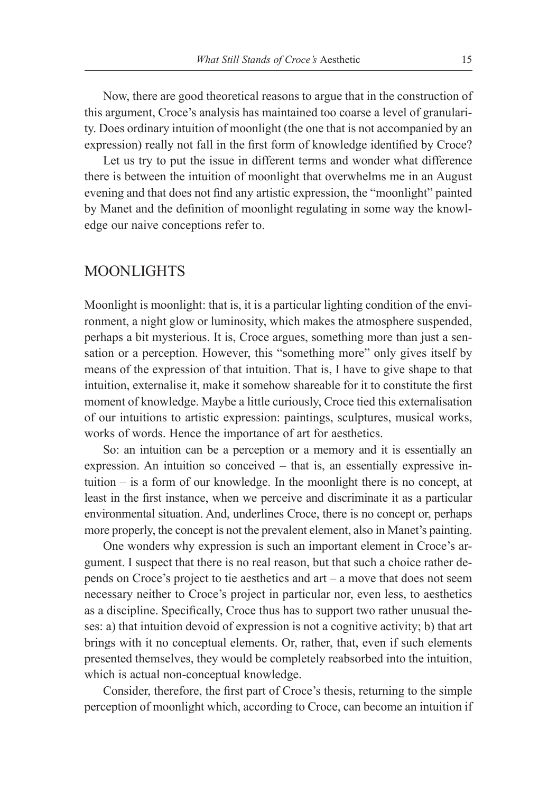Now, there are good theoretical reasons to argue that in the construction of this argument, Croce's analysis has maintained too coarse a level of granularity. Does ordinary intuition of moonlight (the one that is not accompanied by an expression) really not fall in the first form of knowledge identified by Croce?

Let us try to put the issue in different terms and wonder what difference there is between the intuition of moonlight that overwhelms me in an August evening and that does not find any artistic expression, the "moonlight" painted by Manet and the definition of moonlight regulating in some way the knowledge our naive conceptions refer to.

### MOONLIGHTS

Moonlight is moonlight: that is, it is a particular lighting condition of the environment, a night glow or luminosity, which makes the atmosphere suspended, perhaps a bit mysterious. It is, Croce argues, something more than just a sensation or a perception. However, this "something more" only gives itself by means of the expression of that intuition. That is, I have to give shape to that intuition, externalise it, make it somehow shareable for it to constitute the first moment of knowledge. Maybe a little curiously, Croce tied this externalisation of our intuitions to artistic expression: paintings, sculptures, musical works, works of words. Hence the importance of art for aesthetics.

So: an intuition can be a perception or a memory and it is essentially an expression. An intuition so conceived – that is, an essentially expressive intuition – is a form of our knowledge. In the moonlight there is no concept, at least in the first instance, when we perceive and discriminate it as a particular environmental situation. And, underlines Croce, there is no concept or, perhaps more properly, the concept is not the prevalent element, also in Manet's painting.

One wonders why expression is such an important element in Croce's argument. I suspect that there is no real reason, but that such a choice rather depends on Croce's project to tie aesthetics and art – a move that does not seem necessary neither to Croce's project in particular nor, even less, to aesthetics as a discipline. Specifically, Croce thus has to support two rather unusual theses: a) that intuition devoid of expression is not a cognitive activity; b) that art brings with it no conceptual elements. Or, rather, that, even if such elements presented themselves, they would be completely reabsorbed into the intuition, which is actual non-conceptual knowledge.

Consider, therefore, the first part of Croce's thesis, returning to the simple perception of moonlight which, according to Croce, can become an intuition if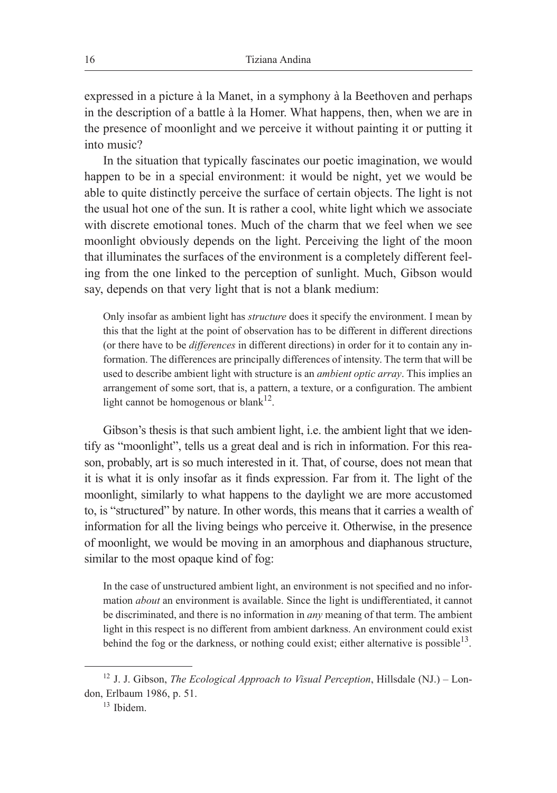expressed in a picture à la Manet, in a symphony à la Beethoven and perhaps in the description of a battle à la Homer. What happens, then, when we are in the presence of moonlight and we perceive it without painting it or putting it into music?

In the situation that typically fascinates our poetic imagination, we would happen to be in a special environment: it would be night, yet we would be able to quite distinctly perceive the surface of certain objects. The light is not the usual hot one of the sun. It is rather a cool, white light which we associate with discrete emotional tones. Much of the charm that we feel when we see moonlight obviously depends on the light. Perceiving the light of the moon that illuminates the surfaces of the environment is a completely different feeling from the one linked to the perception of sunlight. Much, Gibson would say, depends on that very light that is not a blank medium:

Only insofar as ambient light has *structure* does it specify the environment. I mean by this that the light at the point of observation has to be different in different directions (or there have to be *differences* in different directions) in order for it to contain any information. The differences are principally differences of intensity. The term that will be used to describe ambient light with structure is an *ambient optic array*. This implies an arrangement of some sort, that is, a pattern, a texture, or a configuration. The ambient light cannot be homogenous or blank $12$ .

Gibson's thesis is that such ambient light, i.e. the ambient light that we identify as "moonlight", tells us a great deal and is rich in information. For this reason, probably, art is so much interested in it. That, of course, does not mean that it is what it is only insofar as it finds expression. Far from it. The light of the moonlight, similarly to what happens to the daylight we are more accustomed to, is "structured" by nature. In other words, this means that it carries a wealth of information for all the living beings who perceive it. Otherwise, in the presence of moonlight, we would be moving in an amorphous and diaphanous structure, similar to the most opaque kind of fog:

In the case of unstructured ambient light, an environment is not specified and no information *about* an environment is available. Since the light is undifferentiated, it cannot be discriminated, and there is no information in *any* meaning of that term. The ambient light in this respect is no different from ambient darkness. An environment could exist behind the fog or the darkness, or nothing could exist; either alternative is possible<sup>13</sup>.

<sup>12</sup> J. J. Gibson, *The Ecological Approach to Visual Perception*, Hillsdale (NJ.) – London, Erlbaum 1986, p. 51.

<sup>13</sup> Ibidem.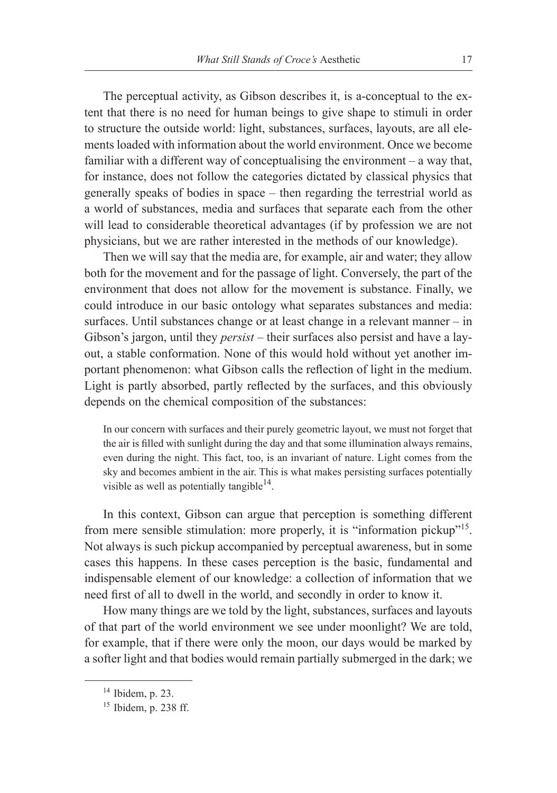The perceptual activity, as Gibson describes it, is a-conceptual to the extent that there is no need for human beings to give shape to stimuli in order to structure the outside world: light, substances, surfaces, layouts, are all elements loaded with information about the world environment. Once we become familiar with a different way of conceptualising the environment – a way that, for instance, does not follow the categories dictated by classical physics that generally speaks of bodies in space – then regarding the terrestrial world as a world of substances, media and surfaces that separate each from the other will lead to considerable theoretical advantages (if by profession we are not physicians, but we are rather interested in the methods of our knowledge).

Then we will say that the media are, for example, air and water; they allow both for the movement and for the passage of light. Conversely, the part of the environment that does not allow for the movement is substance. Finally, we could introduce in our basic ontology what separates substances and media: surfaces. Until substances change or at least change in a relevant manner – in Gibson's jargon, until they *persist* – their surfaces also persist and have a layout, a stable conformation. None of this would hold without yet another important phenomenon: what Gibson calls the reflection of light in the medium. Light is partly absorbed, partly reflected by the surfaces, and this obviously depends on the chemical composition of the substances:

In our concern with surfaces and their purely geometric layout, we must not forget that the air is filled with sunlight during the day and that some illumination always remains, even during the night. This fact, too, is an invariant of nature. Light comes from the sky and becomes ambient in the air. This is what makes persisting surfaces potentially visible as well as potentially tangible<sup>14</sup>.

In this context, Gibson can argue that perception is something different from mere sensible stimulation: more properly, it is "information pickup"15. Not always is such pickup accompanied by perceptual awareness, but in some cases this happens. In these cases perception is the basic, fundamental and indispensable element of our knowledge: a collection of information that we need first of all to dwell in the world, and secondly in order to know it.

How many things are we told by the light, substances, surfaces and layouts of that part of the world environment we see under moonlight? We are told, for example, that if there were only the moon, our days would be marked by a softer light and that bodies would remain partially submerged in the dark; we

<sup>14</sup> Ibidem, p. 23.

<sup>15</sup> Ibidem, p. 238 ff.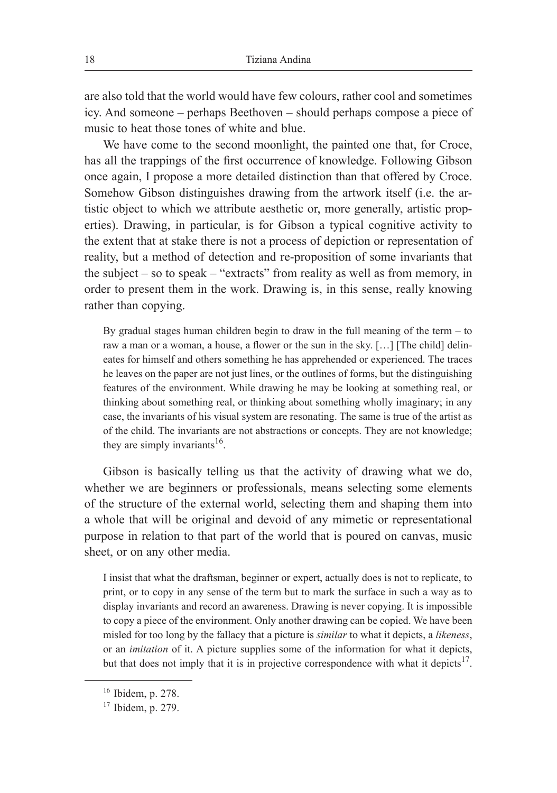are also told that the world would have few colours, rather cool and sometimes icy. And someone – perhaps Beethoven – should perhaps compose a piece of music to heat those tones of white and blue.

We have come to the second moonlight, the painted one that, for Croce, has all the trappings of the first occurrence of knowledge. Following Gibson once again, I propose a more detailed distinction than that offered by Croce. Somehow Gibson distinguishes drawing from the artwork itself (i.e. the artistic object to which we attribute aesthetic or, more generally, artistic properties). Drawing, in particular, is for Gibson a typical cognitive activity to the extent that at stake there is not a process of depiction or representation of reality, but a method of detection and re-proposition of some invariants that the subject – so to speak – "extracts" from reality as well as from memory, in order to present them in the work. Drawing is, in this sense, really knowing rather than copying.

By gradual stages human children begin to draw in the full meaning of the term – to raw a man or a woman, a house, a flower or the sun in the sky. […] [The child] delineates for himself and others something he has apprehended or experienced. The traces he leaves on the paper are not just lines, or the outlines of forms, but the distinguishing features of the environment. While drawing he may be looking at something real, or thinking about something real, or thinking about something wholly imaginary; in any case, the invariants of his visual system are resonating. The same is true of the artist as of the child. The invariants are not abstractions or concepts. They are not knowledge; they are simply invariants<sup>16</sup>.

Gibson is basically telling us that the activity of drawing what we do, whether we are beginners or professionals, means selecting some elements of the structure of the external world, selecting them and shaping them into a whole that will be original and devoid of any mimetic or representational purpose in relation to that part of the world that is poured on canvas, music sheet, or on any other media.

I insist that what the draftsman, beginner or expert, actually does is not to replicate, to print, or to copy in any sense of the term but to mark the surface in such a way as to display invariants and record an awareness. Drawing is never copying. It is impossible to copy a piece of the environment. Only another drawing can be copied. We have been misled for too long by the fallacy that a picture is *similar* to what it depicts, a *likeness*, or an *imitation* of it. A picture supplies some of the information for what it depicts, but that does not imply that it is in projective correspondence with what it depicts<sup>17</sup>.

<sup>16</sup> Ibidem, p. 278.

<sup>17</sup> Ibidem, p. 279.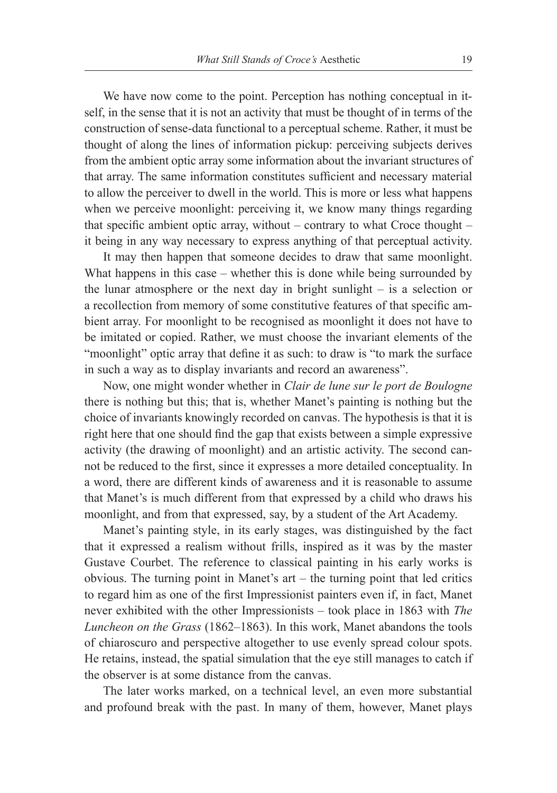We have now come to the point. Perception has nothing conceptual in itself, in the sense that it is not an activity that must be thought of in terms of the construction of sense-data functional to a perceptual scheme. Rather, it must be thought of along the lines of information pickup: perceiving subjects derives from the ambient optic array some information about the invariant structures of that array. The same information constitutes sufficient and necessary material to allow the perceiver to dwell in the world. This is more or less what happens when we perceive moonlight: perceiving it, we know many things regarding that specific ambient optic array, without – contrary to what Croce thought – it being in any way necessary to express anything of that perceptual activity.

It may then happen that someone decides to draw that same moonlight. What happens in this case – whether this is done while being surrounded by the lunar atmosphere or the next day in bright sunlight – is a selection or a recollection from memory of some constitutive features of that specific ambient array. For moonlight to be recognised as moonlight it does not have to be imitated or copied. Rather, we must choose the invariant elements of the "moonlight" optic array that define it as such: to draw is "to mark the surface in such a way as to display invariants and record an awareness".

Now, one might wonder whether in *Clair de lune sur le port de Boulogne*  there is nothing but this; that is, whether Manet's painting is nothing but the choice of invariants knowingly recorded on canvas. The hypothesis is that it is right here that one should find the gap that exists between a simple expressive activity (the drawing of moonlight) and an artistic activity. The second cannot be reduced to the first, since it expresses a more detailed conceptuality. In a word, there are different kinds of awareness and it is reasonable to assume that Manet's is much different from that expressed by a child who draws his moonlight, and from that expressed, say, by a student of the Art Academy.

Manet's painting style, in its early stages, was distinguished by the fact that it expressed a realism without frills, inspired as it was by the master Gustave Courbet. The reference to classical painting in his early works is obvious. The turning point in Manet's art – the turning point that led critics to regard him as one of the first Impressionist painters even if, in fact, Manet never exhibited with the other Impressionists – took place in 1863 with *The Luncheon on the Grass* (1862–1863). In this work, Manet abandons the tools of chiaroscuro and perspective altogether to use evenly spread colour spots. He retains, instead, the spatial simulation that the eye still manages to catch if the observer is at some distance from the canvas.

The later works marked, on a technical level, an even more substantial and profound break with the past. In many of them, however, Manet plays